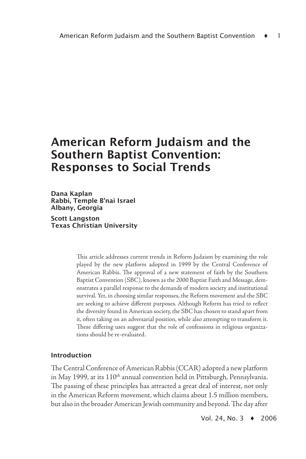# American Reform Judaism and the Southern Baptist Convention: Responses to Social Trends

Dana Kaplan Rabbi, Temple B'nai Israel Albany, Georgia

Scott Langston Texas Christian University

> This article addresses current trends in Reform Judaism by examining the role played by the new platform adopted in 1999 by the Central Conference of American Rabbis. The approval of a new statement of faith by the Southern Baptist Convention (SBC), known as the 2000 Baptist Faith and Message, demonstrates a parallel response to the demands of modern society and institutional survival. Yet, in choosing similar responses, the Reform movement and the SBC are seeking to achieve different purposes. Although Reform has tried to reflect the diversity found in American society, the SBC has chosen to stand apart from it, often taking on an adversarial position, while also attempting to transform it. These differing uses suggest that the role of confessions in religious organizations should be re-evaluated.

# Introduction

The Central Conference of American Rabbis (CCAR) adopted a new platform in May 1999, at its 110<sup>th</sup> annual convention held in Pittsburgh, Pennsylvania. The passing of these principles has attracted a great deal of interest, not only in the American Reform movement, which claims about 1.5 million members, but also in the broader American Jewish community and beyond. The day after

Vol. 24, No. 3 ♦ 2006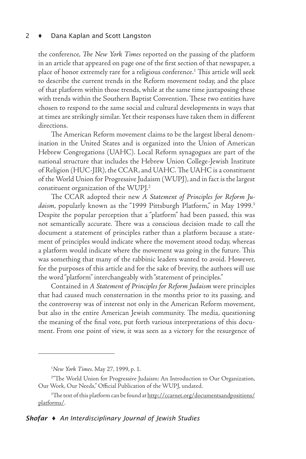#### Dana Kaplan and Scott Langston  $\overline{2}$

the conference, *The New York Times* reported on the passing of the platform in an article that appeared on page one of the first section of that newspaper, a place of honor extremely rare for a religious conference.1 This article will seek to describe the current trends in the Reform movement today, and the place of that platform within those trends, while at the same time juxtaposing these with trends within the Southern Baptist Convention. These two entities have chosen to respond to the same social and cultural developments in ways that at times are strikingly similar. Yet their responses have taken them in different directions.

The American Reform movement claims to be the largest liberal denomination in the United States and is organized into the Union of American Hebrew Congregations (UAHC). Local Reform synagogues are part of the national structure that includes the Hebrew Union College-Jewish Institute of Religion (HUC-JIR), the CCAR, and UAHC. The UAHC is a constituent of the World Union for Progressive Judaism (WUPJ), and in fact is the largest constituent organization of the WUPJ.2

The CCAR adopted their new *A Statement of Principles for Reform Ju*daism, popularly known as the "1999 Pittsburgh Platform," in May 1999.<sup>3</sup> Despite the popular perception that a "platform" had been passed, this was not semantically accurate. There was a conscious decision made to call the document a statement of principles rather than a platform because a statement of principles would indicate where the movement stood today, whereas a platform would indicate where the movement was going in the future. This was something that many of the rabbinic leaders wanted to avoid. However, for the purposes of this article and for the sake of brevity, the authors will use the word "platform" interchangeably with "statement of principles."

Contained in *A Statement of Principles for Reform Judaism* were principles that had caused much consternation in the months prior to its passing, and the controversy was of interest not only in the American Reform movement, but also in the entire American Jewish community. The media, questioning the meaning of the final vote, put forth various interpretations of this document. From one point of view, it was seen as a victory for the resurgence of

<sup>1</sup> *New York Times*. May 27, 1999, p. 1.

<sup>&</sup>lt;sup>2"</sup>The World Union for Progressive Judaism: An Introduction to Our Organization, Our Work, Our Needs," Official Publication of the WUPJ, undated.

<sup>&</sup>lt;sup>3</sup>The text of this platform can be found at <u>http://ccarnet.org/documentsandpositions/</u> platforms/.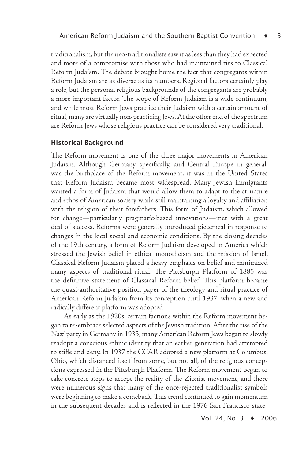traditionalism, but the neo-traditionalists saw it as less than they had expected and more of a compromise with those who had maintained ties to Classical Reform Judaism. The debate brought home the fact that congregants within Reform Judaism are as diverse as its numbers. Regional factors certainly play a role, but the personal religious backgrounds of the congregants are probably a more important factor. The scope of Reform Judaism is a wide continuum, and while most Reform Jews practice their Judaism with a certain amount of ritual, many are virtually non-practicing Jews. At the other end of the spectrum are Reform Jews whose religious practice can be considered very traditional.

#### Historical Background

The Reform movement is one of the three major movements in American Judaism. Although Germany specifically, and Central Europe in general, was the birthplace of the Reform movement, it was in the United States that Reform Judaism became most widespread. Many Jewish immigrants wanted a form of Judaism that would allow them to adapt to the structure and ethos of American society while still maintaining a loyalty and affiliation with the religion of their forefathers. This form of Judaism, which allowed for change—particularly pragmatic-based innovations—met with a great deal of success. Reforms were generally introduced piecemeal in response to changes in the local social and economic conditions. By the closing decades of the 19th century, a form of Reform Judaism developed in America which stressed the Jewish belief in ethical monotheism and the mission of Israel. Classical Reform Judaism placed a heavy emphasis on belief and minimized many aspects of traditional ritual. The Pittsburgh Platform of 1885 was the definitive statement of Classical Reform belief. This platform became the quasi-authoritative position paper of the theology and ritual practice of American Reform Judaism from its conception until 1937, when a new and radically different platform was adopted.

As early as the 1920s, certain factions within the Reform movement began to re-embrace selected aspects of the Jewish tradition. After the rise of the Nazi party in Germany in 1933, many American Reform Jews began to slowly readopt a conscious ethnic identity that an earlier generation had attempted to stifle and deny. In 1937 the CCAR adopted a new platform at Columbus, Ohio, which distanced itself from some, but not all, of the religious conceptions expressed in the Pittsburgh Platform. The Reform movement began to take concrete steps to accept the reality of the Zionist movement, and there were numerous signs that many of the once-rejected traditionalist symbols were beginning to make a comeback. This trend continued to gain momentum in the subsequent decades and is reflected in the 1976 San Francisco state-

Vol. 24, No. 3 ♦ 2006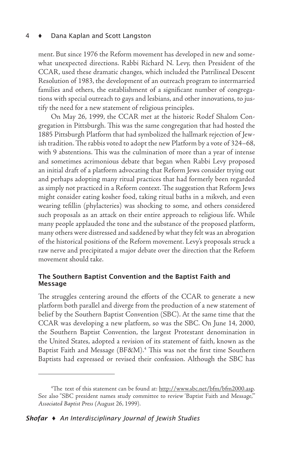ment. But since 1976 the Reform movement has developed in new and somewhat unexpected directions. Rabbi Richard N. Levy, then President of the CCAR, used these dramatic changes, which included the Patrilineal Descent Resolution of 1983, the development of an outreach program to intermarried families and others, the establishment of a significant number of congregations with special outreach to gays and lesbians, and other innovations, to justify the need for a new statement of religious principles.

On May 26, 1999, the CCAR met at the historic Rodef Shalom Congregation in Pittsburgh. This was the same congregation that had hosted the 1885 Pittsburgh Platform that had symbolized the hallmark rejection of Jewish tradition. The rabbis voted to adopt the new Platform by a vote of 324–68, with 9 abstentions. This was the culmination of more than a year of intense and sometimes acrimonious debate that began when Rabbi Levy proposed an initial draft of a platform advocating that Reform Jews consider trying out and perhaps adopting many ritual practices that had formerly been regarded as simply not practiced in a Reform context. The suggestion that Reform Jews might consider eating kosher food, taking ritual baths in a mikveh, and even wearing tefillin (phylacteries) was shocking to some, and others considered such proposals as an attack on their entire approach to religious life. While many people applauded the tone and the substance of the proposed platform, many others were distressed and saddened by what they felt was an abrogation of the historical positions of the Reform movement. Levy's proposals struck a raw nerve and precipitated a major debate over the direction that the Reform movement should take.

# The Southern Baptist Convention and the Baptist Faith and Message

The struggles centering around the efforts of the CCAR to generate a new platform both parallel and diverge from the production of a new statement of belief by the Southern Baptist Convention (SBC). At the same time that the CCAR was developing a new platform, so was the SBC. On June 14, 2000, the Southern Baptist Convention, the largest Protestant denomination in the United States, adopted a revision of its statement of faith, known as the Baptist Faith and Message (BF&M).4 This was not the first time Southern Baptists had expressed or revised their confession. Although the SBC has

<sup>&</sup>lt;sup>4</sup>The text of this statement can be found at: http://www.sbc.net/bfm/bfm2000.asp. See also "SBC president names study committee to review 'Baptist Faith and Message,'" *Associated Baptist Press (*August 26, 1999).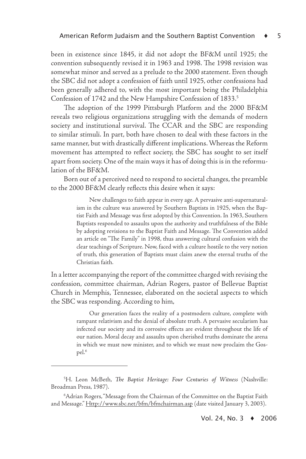been in existence since 1845, it did not adopt the BF&M until 1925; the convention subsequently revised it in 1963 and 1998. The 1998 revision was somewhat minor and served as a prelude to the 2000 statement. Even though the SBC did not adopt a confession of faith until 1925, other confessions had been generally adhered to, with the most important being the Philadelphia Confession of 1742 and the New Hampshire Confession of 1833.5

The adoption of the 1999 Pittsburgh Platform and the 2000 BF&M reveals two religious organizations struggling with the demands of modern society and institutional survival. The CCAR and the SBC are responding to similar stimuli. In part, both have chosen to deal with these factors in the same manner, but with drastically different implications. Whereas the Reform movement has attempted to reflect society, the SBC has sought to set itself apart from society. One of the main ways it has of doing this is in the reformulation of the BF&M.

Born out of a perceived need to respond to societal changes, the preamble to the 2000 BF&M clearly reflects this desire when it says:

> New challenges to faith appear in every age. A pervasive anti-supernaturalism in the culture was answered by Southern Baptists in 1925, when the Baptist Faith and Message was first adopted by this Convention. In 1963, Southern Baptists responded to assaults upon the authority and truthfulness of the Bible by adopting revisions to the Baptist Faith and Message. The Convention added an article on "The Family" in 1998, thus answering cultural confusion with the clear teachings of Scripture. Now, faced with a culture hostile to the very notion of truth, this generation of Baptists must claim anew the eternal truths of the Christian faith.

In a letter accompanying the report of the committee charged with revising the confession, committee chairman, Adrian Rogers, pastor of Bellevue Baptist Church in Memphis, Tennessee, elaborated on the societal aspects to which the SBC was responding. According to him,

> Our generation faces the reality of a postmodern culture, complete with rampant relativism and the denial of absolute truth. A pervasive secularism has infected our society and its corrosive effects are evident throughout the life of our nation. Moral decay and assaults upon cherished truths dominate the arena in which we must now minister, and to which we must now proclaim the Gospel.6

<sup>5</sup> H. Leon McBeth, *The Baptist Heritage: Four Centuries of Witness* (Nashville: Broadman Press, 1987).

<sup>6</sup> Adrian Rogers, "Message from the Chairman of the Committee on the Baptist Faith and Message." Http://www.sbc.net/bfm/bfmchairman.asp (date visited January 3, 2003).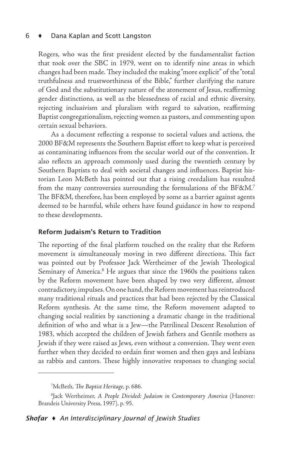Rogers, who was the first president elected by the fundamentalist faction that took over the SBC in 1979, went on to identify nine areas in which changes had been made. They included the making "more explicit" of the "total truthfulness and trustworthiness of the Bible," further clarifying the nature of God and the substitutionary nature of the atonement of Jesus, reaffirming gender distinctions, as well as the blessedness of racial and ethnic diversity, rejecting inclusivism and pluralism with regard to salvation, reaffirming Baptist congregationalism, rejecting women as pastors, and commenting upon certain sexual behaviors.

As a document reflecting a response to societal values and actions, the 2000 BF&M represents the Southern Baptist effort to keep what is perceived as contaminating influences from the secular world out of the convention. It also reflects an approach commonly used during the twentieth century by Southern Baptists to deal with societal changes and influences. Baptist historian Leon McBeth has pointed out that a rising creedalism has resulted from the many controversies surrounding the formulations of the BF&M.<sup>7</sup> The BF&M, therefore, has been employed by some as a barrier against agents deemed to be harmful, while others have found guidance in how to respond to these developments.

#### Reform Judaism's Return to Tradition

The reporting of the final platform touched on the reality that the Reform movement is simultaneously moving in two different directions. This fact was pointed out by Professor Jack Wertheimer of the Jewish Theological Seminary of America.<sup>8</sup> He argues that since the 1960s the positions taken by the Reform movement have been shaped by two very different, almost contradictory, impulses. On one hand, the Reform movement has reintroduced many traditional rituals and practices that had been rejected by the Classical Reform synthesis. At the same time, the Reform movement adapted to changing social realities by sanctioning a dramatic change in the traditional definition of who and what is a Jew—the Patrilineal Descent Resolution of 1983, which accepted the children of Jewish fathers and Gentile mothers as Jewish if they were raised as Jews, even without a conversion. They went even further when they decided to ordain first women and then gays and lesbians as rabbis and cantors. These highly innovative responses to changing social

<sup>7</sup> McBeth, *The Baptist Heritage*, p. 686.

<sup>8</sup> Jack Wertheimer, *A People Divided: Judaism in Contemporary America* (Hanover: Brandeis University Press, 1997), p. 95.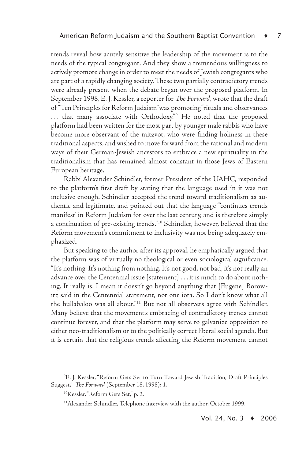trends reveal how acutely sensitive the leadership of the movement is to the needs of the typical congregant. And they show a tremendous willingness to actively promote change in order to meet the needs of Jewish congregants who are part of a rapidly changing society. These two partially contradictory trends were already present when the debate began over the proposed platform. In September 1998, E. J. Kessler, a reporter for *The Forward*, wrote that the draft of "Ten Principles for Reform Judaism"was promoting "rituals and observances . . . that many associate with Orthodoxy."9 He noted that the proposed platform had been written for the most part by younger male rabbis who have become more observant of the mitzvot, who were finding holiness in these traditional aspects, and wished to move forward from the rational and modern ways of their German-Jewish ancestors to embrace a new spirituality in the traditionalism that has remained almost constant in those Jews of Eastern European heritage.

Rabbi Alexander Schindler, former President of the UAHC, responded to the platform's first draft by stating that the language used in it was not inclusive enough. Schindler accepted the trend toward traditionalism as authentic and legitimate, and pointed out that the language "'continues trends manifest' in Reform Judaism for over the last century, and is therefore simply a continuation of pre-existing trends."10 Schindler, however, believed that the Reform movement's commitment to inclusivity was not being adequately emphasized.

But speaking to the author after its approval, he emphatically argued that the platform was of virtually no theological or even sociological significance. "It's nothing. It's nothing from nothing. It's not good, not bad, it's not really an advance over the Centennial issue [statement] . . . it is much to do about nothing. It really is. I mean it doesn't go beyond anything that [Eugene] Borowitz said in the Centennial statement, not one iota. So I don't know what all the hullabaloo was all about."11 But not all observers agree with Schindler. Many believe that the movement's embracing of contradictory trends cannot continue forever, and that the platform may serve to galvanize opposition to either neo-traditionalism or to the politically correct liberal social agenda. But it is certain that the religious trends affecting the Reform movement cannot

<sup>9</sup> E. J. Kessler, "Reform Gets Set to Turn Toward Jewish Tradition, Draft Principles Suggest," *The Forward* (September 18, 1998): 1.

<sup>&</sup>lt;sup>10</sup>Kessler, "Reform Gets Set," p. 2.

<sup>11</sup>Alexander Schindler, Telephone interview with the author, October 1999.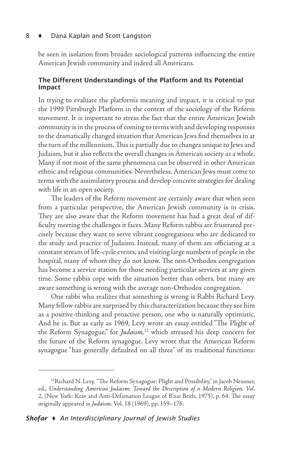be seen in isolation from broader sociological patterns influencing the entire American Jewish community and indeed all Americans.

# The Different Understandings of the Platform and Its Potential Impact

In trying to evaluate the platform's meaning and impact, it is critical to put the 1999 Pittsburgh Platform in the context of the sociology of the Reform movement. It is important to stress the fact that the entire American Jewish community is in the process of coming to terms with and developing responses to the dramatically changed situation that American Jews find themselves in at the turn of the millennium. This is partially due to changes unique to Jews and Judaism, but it also reflects the overall changes in American society as a whole. Many if not most of the same phenomena can be observed in other American ethnic and religious communities. Nevertheless, American Jews must come to terms with the assimilatory process and develop concrete strategies for dealing with life in an open society.

The leaders of the Reform movement are certainly aware that when seen from a particular perspective, the American Jewish community is in crisis. They are also aware that the Reform movement has had a great deal of difficulty meeting the challenges it faces. Many Reform rabbis are frustrated precisely because they want to serve vibrant congregations who are dedicated to the study and practice of Judaism.Instead, many of them are officiating at a constant stream of life-cycle events, and visiting large numbers of people in the hospital, many of whom they do not know. The non-Orthodox congregation has become a service station for those needing particular services at any given time. Some rabbis cope with the situation better than others, but many are aware something is wrong with the average non-Orthodox congregation.

One rabbi who realizes that something is wrong is Rabbi Richard Levy. Many fellow rabbis are surprised by this characterization because they see him as a positive-thinking and proactive person, one who is naturally optimistic. And he is. But as early as 1969, Levy wrote an essay entitled "The Plight of the Reform Synagogue," for *Judaism*, 12 which stressed his deep concern for the future of the Reform synagogue. Levy wrote that the American Reform synagogue "has generally defaulted on all three" of its traditional functions:

<sup>&</sup>lt;sup>12</sup>Richard N. Levy, "The Reform Synagogue: Plight and Possibility," in Jacob Neusner, ed., *Understanding American Judaism: Toward the Description of a Modern Religion, Vol. 2*, (New York: Ktav and Anti-Defamation League of B'nai Brith, 1975), p. 64. The essay originally appeared in *Judaism,* Vol. 18 (1969), pp. 159–176.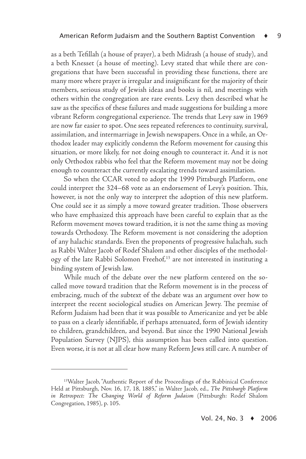as a beth Tefillah (a house of prayer), a beth Midrash (a house of study), and a beth Knesset (a house of meeting). Levy stated that while there are congregations that have been successful in providing these functions, there are many more where prayer is irregular and insignificant for the majority of their members, serious study of Jewish ideas and books is nil, and meetings with others within the congregation are rare events. Levy then described what he saw as the specifics of these failures and made suggestions for building a more vibrant Reform congregational experience. The trends that Levy saw in 1969 are now far easier to spot. One sees repeated references to continuity, survival, assimilation, and intermarriage in Jewish newspapers. Once in a while, an Orthodox leader may explicitly condemn the Reform movement for causing this situation, or more likely, for not doing enough to counteract it. And it is not only Orthodox rabbis who feel that the Reform movement may not be doing enough to counteract the currently escalating trends toward assimilation.

So when the CCAR voted to adopt the 1999 Pittsburgh Platform, one could interpret the 324–68 vote as an endorsement of Levy's position. This, however, is not the only way to interpret the adoption of this new platform. One could see it as simply a move toward greater tradition. Those observers who have emphasized this approach have been careful to explain that as the Reform movement moves toward tradition, it is not the same thing as moving towards Orthodoxy. The Reform movement is not considering the adoption of any halachic standards. Even the proponents of progressive halachah*,* such as Rabbi Walter Jacob of Rodef Shalom and other disciples of the methodology of the late Rabbi Solomon Freehof,<sup>13</sup> are not interested in instituting a binding system of Jewish law.

While much of the debate over the new platform centered on the socalled move toward tradition that the Reform movement is in the process of embracing, much of the subtext of the debate was an argument over how to interpret the recent sociological studies on American Jewry. The premise of Reform Judaism had been that it was possible to Americanize and yet be able to pass on a clearly identifiable, if perhaps attenuated, form of Jewish identity to children, grandchildren, and beyond. But since the 1990 National Jewish Population Survey (NJPS), this assumption has been called into question. Even worse, it is not at all clear how many Reform Jews still care. A number of

<sup>&</sup>lt;sup>13</sup>Walter Jacob, "Authentic Report of the Proceedings of the Rabbinical Conference Held at Pittsburgh, Nov. 16, 17, 18, 1885," in Walter Jacob, ed., *The Pittsburgh Platform in Retrospect: The Changing World of Reform Judaism* (Pittsburgh: Rodef Shalom Congregation, 1985), p. 105.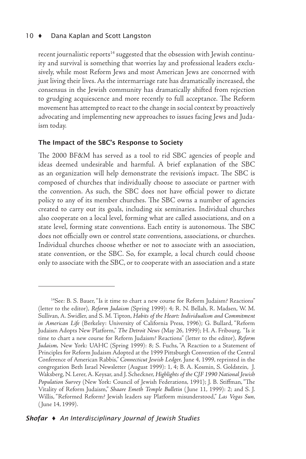recent journalistic reports<sup>14</sup> suggested that the obsession with Jewish continuity and survival is something that worries lay and professional leaders exclusively, while most Reform Jews and most American Jews are concerned with just living their lives. As the intermarriage rate has dramatically increased, the consensus in the Jewish community has dramatically shifted from rejection to grudging acquiescence and more recently to full acceptance. The Reform movement has attempted to react to the change in social context by proactively advocating and implementing new approaches to issues facing Jews and Judaism today.

# The Impact of the SBC's Response to Society

The 2000 BF&M has served as a tool to rid SBC agencies of people and ideas deemed undesirable and harmful. A brief explanation of the SBC as an organization will help demonstrate the revision's impact. The SBC is composed of churches that individually choose to associate or partner with the convention. As such, the SBC does not have official power to dictate policy to any of its member churches. The SBC owns a number of agencies created to carry out its goals, including six seminaries. Individual churches also cooperate on a local level, forming what are called associations, and on a state level, forming state conventions. Each entity is autonomous. The SBC does not officially own or control state conventions, associations, or churches. Individual churches choose whether or not to associate with an association, state convention, or the SBC. So, for example, a local church could choose only to associate with the SBC, or to cooperate with an association and a state

<sup>14</sup>See: B. S. Bauer, "Is it time to chart a new course for Reform Judaism? Reactions" (letter to the editor), *Reform Judaism (*Spring 1999): 4; R. N. Bellah, R. Madsen, W. M. Sullivan, A. Swidler, and S. M. Tipton, *Habits of the Heart: Individualism and Commitment in American Life* (Berkeley: University of California Press, 1996); G. Bullard, "Reform Judaism Adopts New Platform," *The Detroit News (*May 26, 1999); H. A. Fribourg, "Is it time to chart a new course for Reform Judaism? Reactions" (letter to the editor), *Reform Judaism,* New York: UAHC (Spring 1999): 8; S. Fuchs, "A Reaction to a Statement of Principles for Reform Judaism Adopted at the 1999 Pittsburgh Convention of the Central Conference of American Rabbis," *Connecticut Jewish Ledger,* June 4, 1999, reprinted in the congregation Beth Israel Newsletter (August 1999): 1, 4; B. A. Kosmin, S. Goldstein, J. Waksberg, N. Lerer, A. Keysar, and J. Scheckner, *Highlights of the CJF 1990 National Jewish Population Survey* (New York: Council of Jewish Federations, 1991); J. B. Stiffman, "The Vitality of Reform Judaism," *Shaare Emeth Temple Bulletin* ( June 11, 1999): 2; and S. J. Willis, "Reformed Reform? Jewish leaders say Platform misunderstood," *Las Vegas Sun*, ( June 14, 1999).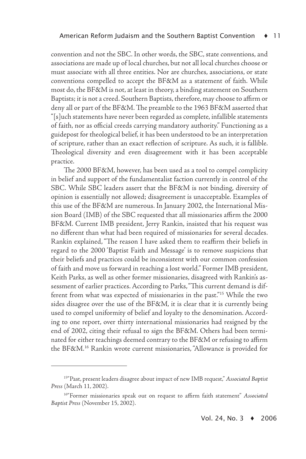convention and not the SBC. In other words, the SBC, state conventions, and associations are made up of local churches, but not all local churches choose or must associate with all three entities. Nor are churches, associations, or state conventions compelled to accept the BF&M as a statement of faith. While most do, the BF&M is not, at least in theory, a binding statement on Southern Baptists; it is not a creed. Southern Baptists, therefore, may choose to affirm or deny all or part of the BF&M. The preamble to the 1963 BF&M asserted that "[s]uch statements have never been regarded as complete, infallible statements of faith, nor as official creeds carrying mandatory authority." Functioning as a guidepost for theological belief, it has been understood to be an interpretation of scripture, rather than an exact reflection of scripture. As such, it is fallible. Theological diversity and even disagreement with it has been acceptable practice.

The 2000 BF&M, however, has been used as a tool to compel complicity in belief and support of the fundamentalist faction currently in control of the SBC. While SBC leaders assert that the BF&M is not binding, diversity of opinion is essentially not allowed; disagreement is unacceptable. Examples of this use of the BF&M are numerous. In January 2002, the International Mission Board (IMB) of the SBC requested that all missionaries affirm the 2000 BF&M. Current IMB president, Jerry Rankin, insisted that his request was no different than what had been required of missionaries for several decades. Rankin explained, "The reason I have asked them to reaffirm their beliefs in regard to the 2000 'Baptist Faith and Message' is to remove suspicions that their beliefs and practices could be inconsistent with our common confession of faith and move us forward in reaching a lost world." Former IMB president, Keith Parks, as well as other former missionaries, disagreed with Rankin's assessment of earlier practices. According to Parks, "This current demand is different from what was expected of missionaries in the past."15 While the two sides disagree over the use of the BF&M, it is clear that it is currently being used to compel uniformity of belief and loyalty to the denomination. According to one report, over thirty international missionaries had resigned by the end of 2002, citing their refusal to sign the BF&M. Others had been terminated for either teachings deemed contrary to the BF&M or refusing to affirm the BF&M.16 Rankin wrote current missionaries, "Allowance is provided for

<sup>15&</sup>quot;Past, present leaders disagree about impact of new IMB request," *Associated Baptist Press* (March 11, 2002).

<sup>16&</sup>quot;Former missionaries speak out on request to affirm faith statement" *Associated Baptist Press* (November 15, 2002).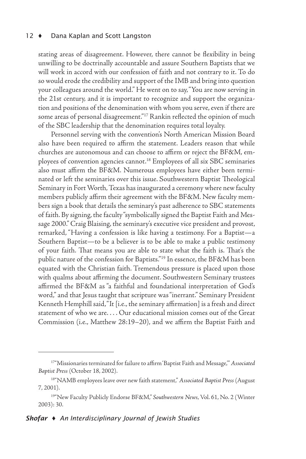stating areas of disagreement. However, there cannot be flexibility in being unwilling to be doctrinally accountable and assure Southern Baptists that we will work in accord with our confession of faith and not contrary to it. To do so would erode the credibility and support of the IMB and bring into question your colleagues around the world." He went on to say, "You are now serving in the 21st century, and it is important to recognize and support the organization and positions of the denomination with whom you serve, even if there are some areas of personal disagreement."17 Rankin reflected the opinion of much of the SBC leadership that the denomination requires total loyalty.

Personnel serving with the convention's North American Mission Board also have been required to affirm the statement. Leaders reason that while churches are autonomous and can choose to affirm or reject the BF&M, employees of convention agencies cannot.<sup>18</sup> Employees of all six SBC seminaries also must affirm the BF&M. Numerous employees have either been terminated or left the seminaries over this issue. Southwestern Baptist Theological Seminary in Fort Worth, Texas has inaugurated a ceremony where new faculty members publicly affirm their agreement with the BF&M. New faculty members sign a book that details the seminary's past adherence to SBC statements of faith. By signing, the faculty "symbolically signed the Baptist Faith and Message 2000." Craig Blaising, the seminary's executive vice president and provost, remarked, "Having a confession is like having a testimony. For a Baptist—a Southern Baptist—to be a believer is to be able to make a public testimony of your faith. That means you are able to state what the faith is. That's the public nature of the confession for Baptists."19 In essence, the BF&M has been equated with the Christian faith. Tremendous pressure is placed upon those with qualms about affirming the document. Southwestern Seminary trustees affirmed the BF&M as "a faithful and foundational interpretation of God's word," and that Jesus taught that scripture was "inerrant." Seminary President Kenneth Hemphill said, "It [i.e., the seminary affirmation] is a fresh and direct statement of who we are. . . . Our educational mission comes out of the Great Commission (i.e., Matthew 28:19–20), and we affirm the Baptist Faith and

<sup>17&</sup>quot;Missionaries terminated for failure to affirm 'Baptist Faith and Message,'" *Associated Baptist Press* (October 18, 2002).

<sup>18&</sup>quot;NAMB employees leave over new faith statement," *Associated Baptist Press* (August 7, 2001).

<sup>19&</sup>quot;New Faculty Publicly Endorse BF&M," *Southwestern News*, Vol. 61, No. 2 (Winter 2003): 30.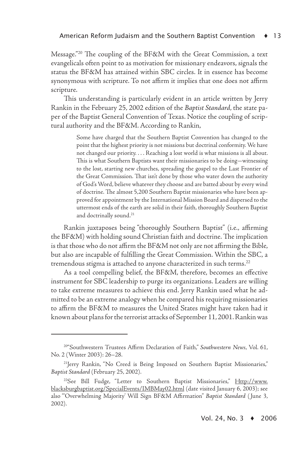Message."20 The coupling of the BF&M with the Great Commission, a text evangelicals often point to as motivation for missionary endeavors, signals the status the BF&M has attained within SBC circles. It in essence has become synonymous with scripture. To not affirm it implies that one does not affirm scripture.

This understanding is particularly evident in an article written by Jerry Rankin in the February 25, 2002 edition of the *Baptist Standard*, the state paper of the Baptist General Convention of Texas. Notice the coupling of scriptural authority and the BF&M. According to Rankin,

> Some have charged that the Southern Baptist Convention has changed to the point that the highest priority is not missions but doctrinal conformity. We have not changed our priority. . . . Reaching a lost world is what missions is all about. This is what Southern Baptists want their missionaries to be doing-witnessing to the lost, starting new churches, spreading the gospel to the Last Frontier of the Great Commission. That isn't done by those who water down the authority of God's Word, believe whatever they choose and are batted about by every wind of doctrine. The almost 5,200 Southern Baptist missionaries who have been approved for appointment by the International Mission Board and dispersed to the uttermost ends of the earth are solid in their faith, thoroughly Southern Baptist and doctrinally sound.<sup>21</sup>

Rankin juxtaposes being "thoroughly Southern Baptist" (i.e., affirming the BF&M) with holding sound Christian faith and doctrine. The implication is that those who do not affirm the BF&M not only are not affirming the Bible, but also are incapable of fulfilling the Great Commission. Within the SBC, a tremendous stigma is attached to anyone characterized in such terms.<sup>22</sup>

As a tool compelling belief, the BF&M, therefore, becomes an effective instrument for SBC leadership to purge its organizations. Leaders are willing to take extreme measures to achieve this end. Jerry Rankin used what he admitted to be an extreme analogy when he compared his requiring missionaries to affirm the BF&M to measures the United States might have taken had it known about plans for the terrorist attacks of September 11, 2001. Rankin was

<sup>20&</sup>quot;Southwestern Trustees Affirm Declaration of Faith," *Southwestern News*, Vol. 61, No. 2 (Winter 2003): 26–28.

<sup>&</sup>lt;sup>21</sup>Jerry Rankin, "No Creed is Being Imposed on Southern Baptist Missionaries," *Baptist Standard* (February 25, 2002).

<sup>&</sup>lt;sup>22</sup>See Bill Fudge, "Letter to Southern Baptist Missionaries," Http://www. blacksburgbaptist.org/SpecialEvents/IMBMay02.html (date visited January 6, 2003); see also "'Overwhelming Majority' Will Sign BF&M Affirmation" *Baptist Standard* ( June 3, 2002).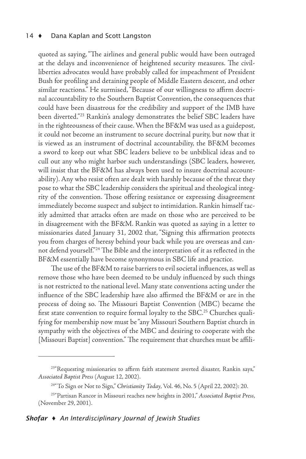#### 14  $\bullet$  Dana Kaplan and Scott Langston

quoted as saying, "The airlines and general public would have been outraged at the delays and inconvenience of heightened security measures. The civilliberties advocates would have probably called for impeachment of President Bush for profiling and detaining people of Middle Eastern descent, and other similar reactions." He surmised, "Because of our willingness to affirm doctrinal accountability to the Southern Baptist Convention, the consequences that could have been disastrous for the credibility and support of the IMB have been diverted."23 Rankin's analogy demonstrates the belief SBC leaders have in the righteousness of their cause. When the BF&M was used as a guidepost, it could not become an instrument to secure doctrinal purity, but now that it is viewed as an instrument of doctrinal accountability, the BF&M becomes a sword to keep out what SBC leaders believe to be unbiblical ideas and to cull out any who might harbor such understandings (SBC leaders, however, will insist that the BF&M has always been used to insure doctrinal accountability). Any who resist often are dealt with harshly because of the threat they pose to what the SBC leadership considers the spiritual and theological integrity of the convention. Those offering resistance or expressing disagreement immediately become suspect and subject to intimidation. Rankin himself tacitly admitted that attacks often are made on those who are perceived to be in disagreement with the BF&M. Rankin was quoted as saying in a letter to missionaries dated January 31, 2002 that, "Signing this affirmation protects you from charges of heresy behind your back while you are overseas and cannot defend yourself."24 The Bible and the interpretation of it as reflected in the BF&M essentially have become synonymous in SBC life and practice.

The use of the BF&M to raise barriers to evil societal influences, as well as remove those who have been deemed to be unduly influenced by such things is not restricted to the national level. Many state conventions acting under the influence of the SBC leadership have also affirmed the BF&M or are in the process of doing so. The Missouri Baptist Convention (MBC) became the first state convention to require formal loyalty to the  ${\rm SBC.}^{25}$  Churches qualifying for membership now must be "any Missouri Southern Baptist church in sympathy with the objectives of the MBC and desiring to cooperate with the [Missouri Baptist] convention." The requirement that churches must be affili-

<sup>&</sup>lt;sup>23"</sup>Requesting missionaries to affirm faith statement averted disaster, Rankin says," *Associated Baptist Press* (August 12, 2002).

<sup>24&</sup>quot;To Sign or Not to Sign," *Christianity Today*, Vol. 46, No. 5 (April 22, 2002): 20.

<sup>25&</sup>quot;Partisan Rancor in Missouri reaches new heights in 2001," *Associated Baptist Press*, (November 29, 2001).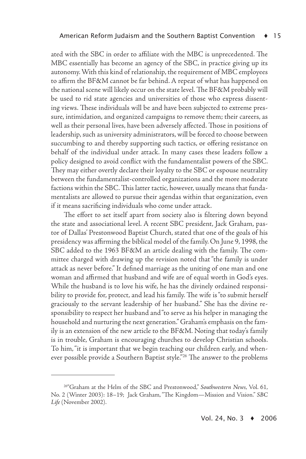ated with the SBC in order to affiliate with the MBC is unprecedented. The MBC essentially has become an agency of the SBC, in practice giving up its autonomy. With this kind of relationship, the requirement of MBC employees to affirm the BF&M cannot be far behind. A repeat of what has happened on the national scene will likely occur on the state level. The BF&M probably will be used to rid state agencies and universities of those who express dissenting views. These individuals will be and have been subjected to extreme pressure, intimidation, and organized campaigns to remove them; their careers, as well as their personal lives, have been adversely affected. Those in positions of leadership, such as university administrators, will be forced to choose between succumbing to and thereby supporting such tactics, or offering resistance on behalf of the individual under attack. In many cases these leaders follow a policy designed to avoid conflict with the fundamentalist powers of the SBC. They may either overtly declare their loyalty to the SBC or espouse neutrality between the fundamentalist-controlled organizations and the more moderate factions within the SBC. This latter tactic, however, usually means that fundamentalists are allowed to pursue their agendas within that organization, even if it means sacrificing individuals who come under attack.

The effort to set itself apart from society also is filtering down beyond the state and associational level. A recent SBC president, Jack Graham, pastor of Dallas' Prestonwood Baptist Church, stated that one of the goals of his presidency was affirming the biblical model of the family. On June 9, 1998, the SBC added to the 1963 BF&M an article dealing with the family. The committee charged with drawing up the revision noted that "the family is under attack as never before." It defined marriage as the uniting of one man and one woman and affirmed that husband and wife are of equal worth in God's eyes. While the husband is to love his wife, he has the divinely ordained responsibility to provide for, protect, and lead his family. The wife is "to submit herself graciously to the servant leadership of her husband." She has the divine responsibility to respect her husband and "to serve as his helper in managing the household and nurturing the next generation." Graham's emphasis on the family is an extension of the new article to the BF&M. Noting that today's family is in trouble, Graham is encouraging churches to develop Christian schools. To him, "it is important that we begin teaching our children early, and whenever possible provide a Southern Baptist style."<sup>26</sup> The answer to the problems

<sup>26&</sup>quot;Graham at the Helm of the SBC and Prestonwood," *Southwestern News*, Vol. 61, No. 2 (Winter 2003): 18–19; Jack Graham, "The Kingdom—Mission and Vision." *SBC Life* (November 2002).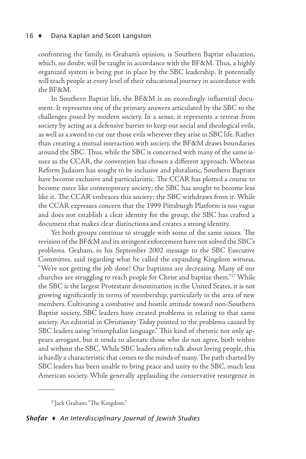confronting the family, in Graham's opinion, is Southern Baptist education, which, no doubt, will be taught in accordance with the BF&M. Thus, a highly organized system is being put in place by the SBC leadership. It potentially will teach people at every level of their educational journey in accordance with the BF&M.

In Southern Baptist life, the BF&M is an exceedingly influential document. It represents one of the primary answers articulated by the SBC to the challenges posed by modern society. In a sense, it represents a retreat from society by acting as a defensive barrier to keep out social and theological evils, as well as a sword to cut out those evils wherever they arise in SBC life. Rather than creating a mutual interaction with society, the BF&M draws boundaries around the SBC. Thus, while the SBC is concerned with many of the same issues as the CCAR, the convention has chosen a different approach. Whereas Reform Judaism has sought to be inclusive and pluralistic, Southern Baptists have become exclusive and particularistic. The CCAR has plotted a course to become more like contemporary society; the SBC has sought to become less like it. The CCAR embraces this society; the SBC withdraws from it. While the CCAR expresses concern that the 1999 Pittsburgh Platform is too vague and does not establish a clear identity for the group, the SBC has crafted a document that makes clear distinctions and creates a strong identity.

Yet both groups continue to struggle with some of the same issues. The revision of the BF&M and its stringent enforcement have not solved the SBC's problems. Graham, in his September 2002 message to the SBC Executive Committee, said regarding what he called the expanding Kingdom witness, "We're not getting the job done! Our baptisms are decreasing. Many of our churches are struggling to reach people for Christ and baptize them."27 While the SBC is the largest Protestant denomination in the United States, it is not growing significantly in terms of membership, particularly in the area of new members. Cultivating a combative and hostile attitude toward non-Southern Baptist society, SBC leaders have created problems in relating to that same society. An editorial in *Christianity Today* pointed to the problems caused by SBC leaders using "triumphalist language." This kind of rhetoric not only appears arrogant, but it tends to alienate those who do not agree, both within and without the SBC. While SBC leaders often talk about loving people, this is hardly a characteristic that comes to the minds of many. The path charted by SBC leaders has been unable to bring peace and unity to the SBC, much less American society. While generally applauding the conservative resurgence in

<sup>27</sup>Jack Graham, "The Kingdom."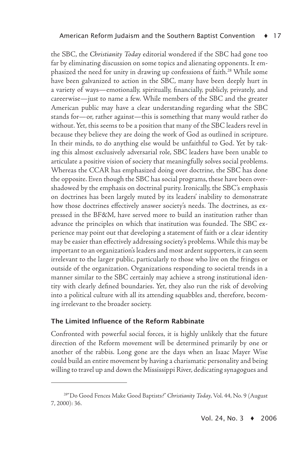the SBC, the *Christianity Today* editorial wondered if the SBC had gone too far by eliminating discussion on some topics and alienating opponents. It emphasized the need for unity in drawing up confessions of faith.<sup>28</sup> While some have been galvanized to action in the SBC, many have been deeply hurt in a variety of ways—emotionally, spiritually, financially, publicly, privately, and careerwise—just to name a few. While members of the SBC and the greater American public may have a clear understanding regarding what the SBC stands for—or, rather against—this is something that many would rather do without. Yet, this seems to be a position that many of the SBC leaders revel in because they believe they are doing the work of God as outlined in scripture. In their minds, to do anything else would be unfaithful to God. Yet by taking this almost exclusively adversarial role, SBC leaders have been unable to articulate a positive vision of society that meaningfully solves social problems. Whereas the CCAR has emphasized doing over doctrine, the SBC has done the opposite. Even though the SBC has social programs, these have been overshadowed by the emphasis on doctrinal purity. Ironically, the SBC's emphasis on doctrines has been largely muted by its leaders' inability to demonstrate how those doctrines effectively answer society's needs. The doctrines, as expressed in the BF&M, have served more to build an institution rather than advance the principles on which that institution was founded. The SBC experience may point out that developing a statement of faith or a clear identity may be easier than effectively addressing society's problems. While this may be important to an organization's leaders and most ardent supporters, it can seem irrelevant to the larger public, particularly to those who live on the fringes or outside of the organization. Organizations responding to societal trends in a manner similar to the SBC certainly may achieve a strong institutional identity with clearly defined boundaries. Yet, they also run the risk of devolving into a political culture with all its attending squabbles and, therefore, becoming irrelevant to the broader society.

#### The Limited Influence of the Reform Rabbinate

Confronted with powerful social forces, it is highly unlikely that the future direction of the Reform movement will be determined primarily by one or another of the rabbis. Long gone are the days when an Isaac Mayer Wise could build an entire movement by having a charismatic personality and being willing to travel up and down the Mississippi River, dedicating synagogues and

<sup>28&</sup>quot;Do Good Fences Make Good Baptists?" *Christianity Today*, Vol. 44, No. 9 (August 7, 2000): 36.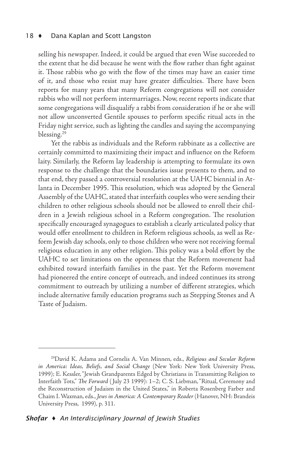selling his newspaper. Indeed, it could be argued that even Wise succeeded to the extent that he did because he went with the flow rather than fight against it. Those rabbis who go with the flow of the times may have an easier time of it, and those who resist may have greater difficulties. There have been reports for many years that many Reform congregations will not consider rabbis who will not perform intermarriages. Now, recent reports indicate that some congregations will disqualify a rabbi from consideration if he or she will not allow unconverted Gentile spouses to perform specific ritual acts in the Friday night service, such as lighting the candles and saying the accompanying blessing.29

Yet the rabbis as individuals and the Reform rabbinate as a collective are certainly committed to maximizing their impact and influence on the Reform laity. Similarly, the Reform lay leadership is attempting to formulate its own response to the challenge that the boundaries issue presents to them, and to that end, they passed a controversial resolution at the UAHC biennial in Atlanta in December 1995. This resolution, which was adopted by the General Assembly of the UAHC, stated that interfaith couples who were sending their children to other religious schools should not be allowed to enroll their children in a Jewish religious school in a Reform congregation. The resolution specifically encouraged synagogues to establish a clearly articulated policy that would offer enrollment to children in Reform religious schools, as well as Reform Jewish day schools, only to those children who were not receiving formal religious education in any other religion. This policy was a bold effort by the UAHC to set limitations on the openness that the Reform movement had exhibited toward interfaith families in the past. Yet the Reform movement had pioneered the entire concept of outreach, and indeed continues its strong commitment to outreach by utilizing a number of different strategies, which include alternative family education programs such as Stepping Stones and A Taste of Judaism.

<sup>29</sup>David K. Adams and Cornelis A. Van Minnen, eds., *Religious and Secular Reform in America: Ideas, Beliefs, and Social Change* (New York: New York University Press, 1999); E. Kessler, "Jewish Grandparents Edged by Christians in Transmitting Religion to Interfaith Tots," *The Forward* ( July 23 1999): 1–2; C. S. Liebman, "Ritual, Ceremony and the Reconstruction of Judaism in the United States," in Roberta Rosenberg Farber and Chaim I. Waxman, eds., *Jews in America: A Contemporary Reader* (Hanover, NH: Brandeis University Press, 1999), p. 311.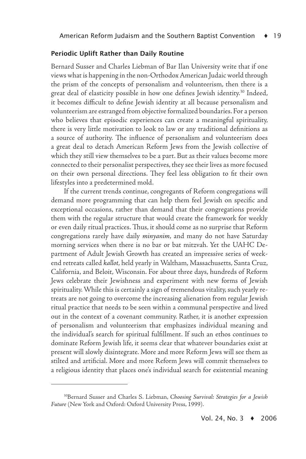# Periodic Uplift Rather than Daily Routine

Bernard Susser and Charles Liebman of Bar Ilan University write that if one views what is happening in the non-Orthodox American Judaic world through the prism of the concepts of personalism and volunteerism, then there is a great deal of elasticity possible in how one defines Jewish identity.<sup>30</sup> Indeed, it becomes difficult to define Jewish identity at all because personalism and volunteerism are estranged from objective formalized boundaries. For a person who believes that episodic experiences can create a meaningful spirituality, there is very little motivation to look to law or any traditional definitions as a source of authority. The influence of personalism and volunteerism does a great deal to detach American Reform Jews from the Jewish collective of which they still view themselves to be a part. But as their values become more connected to their personalist perspectives, they see their lives as more focused on their own personal directions. They feel less obligation to fit their own lifestyles into a predetermined mold.

If the current trends continue, congregants of Reform congregations will demand more programming that can help them feel Jewish on specific and exceptional occasions, rather than demand that their congregations provide them with the regular structure that would create the framework for weekly or even daily ritual practices. Thus, it should come as no surprise that Reform congregations rarely have daily *minyanim*, and many do not have Saturday morning services when there is no bar or bat mitzvah. Yet the UAHC Department of Adult Jewish Growth has created an impressive series of weekend retreats called *kallot*, held yearly in Waltham, Massachusetts, Santa Cruz, California, and Beloit, Wisconsin. For about three days, hundreds of Reform Jews celebrate their Jewishness and experiment with new forms of Jewish spirituality. While this is certainly a sign of tremendous vitality, such yearly retreats are not going to overcome the increasing alienation from regular Jewish ritual practice that needs to be seen within a communal perspective and lived out in the context of a covenant community. Rather, it is another expression of personalism and volunteerism that emphasizes individual meaning and the individual's search for spiritual fulfillment. If such an ethos continues to dominate Reform Jewish life, it seems clear that whatever boundaries exist at present will slowly disintegrate. More and more Reform Jews will see them as stilted and artificial. More and more Reform Jews will commit themselves to a religious identity that places one's individual search for existential meaning

<sup>30</sup>Bernard Susser and Charles S. Liebman, *Choosing Survival: Strategies for a Jewish*  Future (New York and Oxford: Oxford University Press, 1999).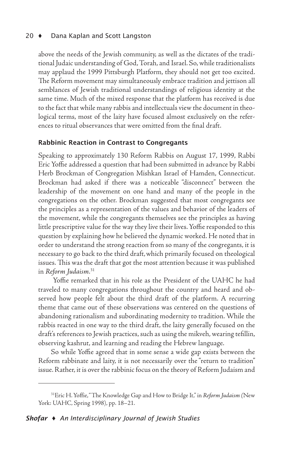above the needs of the Jewish community, as well as the dictates of the traditional Judaic understanding of God, Torah, and Israel. So, while traditionalists may applaud the 1999 Pittsburgh Platform, they should not get too excited. The Reform movement may simultaneously embrace tradition and jettison all semblances of Jewish traditional understandings of religious identity at the same time. Much of the mixed response that the platform has received is due to the fact that while many rabbis and intellectuals view the document in theological terms, most of the laity have focused almost exclusively on the references to ritual observances that were omitted from the final draft.

# Rabbinic Reaction in Contrast to Congregants

Speaking to approximately 130 Reform Rabbis on August 17, 1999, Rabbi Eric Yoffie addressed a question that had been submitted in advance by Rabbi Herb Brockman of Congregation Mishkan Israel of Hamden, Connecticut. Brockman had asked if there was a noticeable "disconnect" between the leadership of the movement on one hand and many of the people in the congregations on the other. Brockman suggested that most congregants see the principles as a representation of the values and behavior of the leaders of the movement, while the congregants themselves see the principles as having little prescriptive value for the way they live their lives. Yoffie responded to this question by explaining how he believed the dynamic worked. He noted that in order to understand the strong reaction from so many of the congregants, it is necessary to go back to the third draft,which primarily focused on theological issues. This was the draft that got the most attention because it was published in *Reform Judaism*. 31

 Yoffie remarked that in his role as the President of the UAHC he had traveled to many congregations throughout the country and heard and observed how people felt about the third draft of the platform. A recurring theme that came out of these observations was centered on the questions of abandoning rationalism and subordinating modernity to tradition. While the rabbis reacted in one way to the third draft, the laity generally focused on the draft's references to Jewish practices, such as using the mikveh, wearing tefillin, observing kashrut, and learning and reading the Hebrew language.

So while Yoffie agreed that in some sense a wide gap exists between the Reform rabbinate and laity, it is not necessarily over the "return to tradition" issue. Rather, it is over the rabbinic focus on the theory of Reform Judaism and

<sup>31</sup>Eric H. Yoffie, "The Knowledge Gap and How to Bridge It," in *Reform Judaism (*New York: UAHC, Spring 1998), pp. 18–21.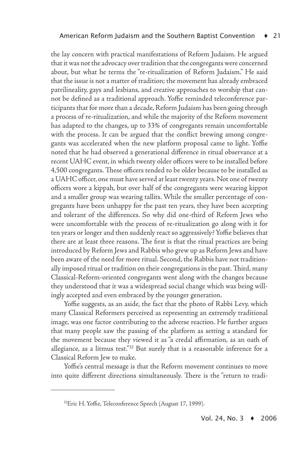the lay concern with practical manifestations of Reform Judaism. He argued that it was not the advocacy over tradition that the congregants were concerned about, but what he terms the "re-ritualization of Reform Judaism." He said that the issue is not a matter of tradition; the movement has already embraced patrilineality, gays and lesbians, and creative approaches to worship that cannot be defined as a traditional approach. Yoffie reminded teleconference participants that for more than a decade, Reform Judaism has been going through a process of re-ritualization, and while the majority of the Reform movement has adapted to the changes, up to 33% of congregants remain uncomfortable with the process. It can be argued that the conflict brewing among congregants was accelerated when the new platform proposal came to light. Yoffie noted that he had observed a generational difference in ritual observance at a recent UAHC event, in which twenty older officers were to be installed before 4,500 congregants. These officers tended to be older because to be installed as a UAHC officer, one must have served at least twenty years. Not one of twenty officers wore a kippah, but over half of the congregants were wearing kippot and a smaller group was wearing tallits. While the smaller percentage of congregants have been unhappy for the past ten years, they have been accepting and tolerant of the differences. So why did one-third of Reform Jews who were uncomfortable with the process of re-ritualization go along with it for ten years or longer and then suddenly react so aggressively? Yoffie believes that there are at least three reasons. The first is that the ritual practices are being introduced by Reform Jews and Rabbis who grew up as Reform Jews and have been aware of the need for more ritual. Second, the Rabbis have not traditionally imposed ritual or tradition on their congregations in the past. Third, many Classical-Reform-oriented congregants went along with the changes because they understood that it was a widespread social change which was being willingly accepted and even embraced by the younger generation.

Yoffie suggests, as an aside, the fact that the photo of Rabbi Levy, which many Classical Reformers perceived as representing an extremely traditional image, was one factor contributing to the adverse reaction. He further argues that many people saw the passing of the platform as setting a standard for the movement because they viewed it as "a credal affirmation, as an oath of allegiance, as a litmus test."<sup>32</sup> But surely that is a reasonable inference for a Classical Reform Jew to make.

Yoffie's central message is that the Reform movement continues to move into quite different directions simultaneously. There is the "return to tradi-

<sup>&</sup>lt;sup>32</sup>Eric H. Yoffie, Teleconference Speech (August 17, 1999).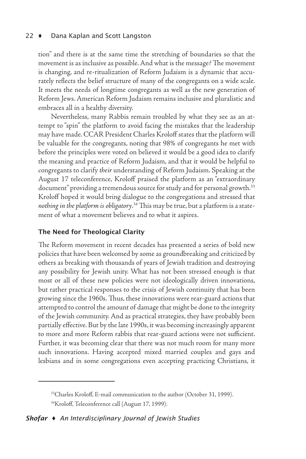tion" and there is at the same time the stretching of boundaries so that the movement is as inclusive as possible. And what is the message? The movement is changing, and re-ritualization of Reform Judaism is a dynamic that accurately reflects the belief structure of many of the congregants on a wide scale. It meets the needs of longtime congregants as well as the new generation of Reform Jews. American Reform Judaism remains inclusive and pluralistic and embraces all in a healthy diversity.

Nevertheless, many Rabbis remain troubled by what they see as an attempt to "spin" the platform to avoid facing the mistakes that the leadership may have made. CCAR President Charles Kroloff states that the platform will be valuable for the congregants, noting that 98% of congregants he met with before the principles were voted on believed it would be a good idea to clarify the meaning and practice of Reform Judaism, and that it would be helpful to congregants to clarify *their* understanding of Reform Judaism. Speaking at the August 17 teleconference, Kroloff praised the platform as an "extraordinary document" providing a tremendous source for study and for personal growth.<sup>33</sup> Kroloff hoped it would bring dialogue to the congregations and stressed that *nothing in the platform is obligatory*. 34 This may be true, but a platform is a statement of what a movement believes and to what it aspires.

# The Need for Theological Clarity

The Reform movement in recent decades has presented a series of bold new policies that have been welcomed by some as groundbreaking and criticized by others as breaking with thousands of years of Jewish tradition and destroying any possibility for Jewish unity. What has not been stressed enough is that most or all of these new policies were not ideologically driven innovations, but rather practical responses to the crisis of Jewish continuity that has been growing since the 1960s. Thus, these innovations were rear-guard actions that attempted to control the amount of damage that might be done to the integrity of the Jewish community. And as practical strategies, they have probably been partially effective. But by the late 1990s, it was becoming increasingly apparent to more and more Reform rabbis that rear-guard actions were not sufficient. Further, it was becoming clear that there was not much room for many more such innovations. Having accepted mixed married couples and gays and lesbians and in some congregations even accepting practicing Christians, it

<sup>&</sup>lt;sup>33</sup>Charles Kroloff, E-mail communication to the author (October 31, 1999). 34Kroloff, Teleconference call (August 17, 1999).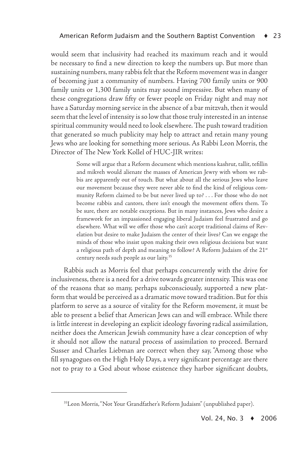would seem that inclusivity had reached its maximum reach and it would be necessary to find a new direction to keep the numbers up. But more than sustaining numbers, many rabbis felt that the Reform movement was in danger of becoming just a community of numbers. Having 700 family units or 900 family units or 1,300 family units may sound impressive. But when many of these congregations draw fifty or fewer people on Friday night and may not have a Saturday morning service in the absence of a bar mitzvah, then it would seem that the level of intensity is so low that those truly interested in an intense spiritual community would need to look elsewhere. The push toward tradition that generated so much publicity may help to attract and retain many young Jews who are looking for something more serious. As Rabbi Leon Morris, the Director of The New York Kollel of HUC-JIR writes:

> Some will argue that a Reform document which mentions kashrut, tallit, tefillin and mikveh would alienate the masses of American Jewry with whom we rabbis are apparently out of touch. But what about all the serious Jews who leave our movement because they were never able to find the kind of religious community Reform claimed to be but never lived up to? . . . For those who do not become rabbis and cantors, there isn't enough the movement offers them. To be sure, there are notable exceptions. But in many instances, Jews who desire a framework for an impassioned engaging liberal Judaism feel frustrated and go elsewhere. What will we offer those who can't accept traditional claims of Revelation but desire to make Judaism the center of their lives? Can we engage the minds of those who insist upon making their own religious decisions but want a religious path of depth and meaning to follow? A Reform Judaism of the 21<sup>st</sup> century needs such people as our laity.35

Rabbis such as Morris feel that perhaps concurrently with the drive for inclusiveness, there is a need for a drive towards greater intensity. This was one of the reasons that so many, perhaps subconsciously, supported a new platform that would be perceived as a dramatic move toward tradition. But for this platform to serve as a source of vitality for the Reform movement, it must be able to present a belief that American Jews can and will embrace. While there is little interest in developing an explicit ideology favoring radical assimilation, neither does the American Jewish community have a clear conception of why it should not allow the natural process of assimilation to proceed. Bernard Susser and Charles Liebman are correct when they say, "Among those who fill synagogues on the High Holy Days, a very significant percentage are there not to pray to a God about whose existence they harbor significant doubts,

<sup>35</sup>Leon Morris, "Not Your Grandfather's Reform Judaism" (unpublished paper).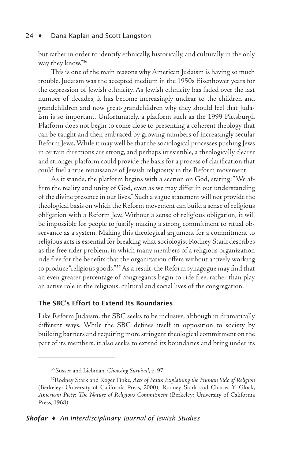but rather in order to identify ethnically, historically, and culturally in the only way they know."36

This is one of the main reasons why American Judaism is having so much trouble. Judaism was the accepted medium in the 1950s Eisenhower years for the expression of Jewish ethnicity. As Jewish ethnicity has faded over the last number of decades, it has become increasingly unclear to the children and grandchildren and now great-grandchildren why they should feel that Judaism is so important. Unfortunately, a platform such as the 1999 Pittsburgh Platform does not begin to come close to presenting a coherent theology that can be taught and then embraced by growing numbers of increasingly secular Reform Jews. While it may well be that the sociological processes pushing Jews in certain directions are strong, and perhaps irresistible, a theologically clearer and stronger platform could provide the basis for a process of clarification that could fuel a true renaissance of Jewish religiosity in the Reform movement.

As it stands, the platform begins with a section on God, stating: "We affirm the reality and unity of God, even as we may differ in our understanding of the divine presence in our lives." Such a vague statement will not provide the theological basis on which the Reform movement can build a sense of religious obligation with a Reform Jew. Without a sense of religious obligation, it will be impossible for people to justify making a strong commitment to ritual observance as a system. Making this theological argument for a commitment to religious acts is essential for breaking what sociologist Rodney Stark describes as the free rider problem, in which many members of a religious organization ride free for the benefits that the organization offers without actively working to produce "religious goods."37 As a result, the Reform synagogue may find that an even greater percentage of congregants begin to ride free, rather than play an active role in the religious, cultural and social lives of the congregation.

# The SBC's Effort to Extend Its Boundaries

Like Reform Judaism, the SBC seeks to be inclusive, although in dramatically different ways. While the SBC defines itself in opposition to society by building barriers and requiring more stringent theological commitment on the part of its members, it also seeks to extend its boundaries and bring under its

<sup>36</sup> Susser and Liebman, *Choosing Survival*, p. 97.

<sup>37</sup>Rodney Stark and Roger Finke, *Acts of Faith: Explaining the Human Side of Religion*  (Berkeley: University of California Press, 2000); Rodney Stark and Charles Y. Glock, *American Piety: The Nature of Religious Commitment* (Berkeley: University of California Press, 1968).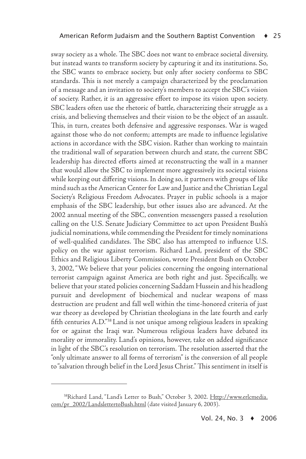sway society as a whole. The SBC does not want to embrace societal diversity, but instead wants to transform society by capturing it and its institutions. So, the SBC wants to embrace society, but only after society conforms to SBC standards. This is not merely a campaign characterized by the proclamation of a message and an invitation to society's members to accept the SBC's vision of society. Rather, it is an aggressive effort to impose its vision upon society. SBC leaders often use the rhetoric of battle, characterizing their struggle as a crisis, and believing themselves and their vision to be the object of an assault. This, in turn, creates both defensive and aggressive responses. War is waged against those who do not conform; attempts are made to influence legislative actions in accordance with the SBC vision. Rather than working to maintain the traditional wall of separation between church and state, the current SBC leadership has directed efforts aimed at reconstructing the wall in a manner that would allow the SBC to implement more aggressively its societal visions while keeping out differing visions. In doing so, it partners with groups of like mind such as the American Center for Law and Justice and the Christian Legal Society's Religious Freedom Advocates. Prayer in public schools is a major emphasis of the SBC leadership, but other issues also are advanced. At the 2002 annual meeting of the SBC, convention messengers passed a resolution calling on the U.S. Senate Judiciary Committee to act upon President Bush's judicial nominations, while commending the President for timely nominations of well-qualified candidates. The SBC also has attempted to influence U.S. policy on the war against terrorism. Richard Land, president of the SBC Ethics and Religious Liberty Commission, wrote President Bush on October 3, 2002, "We believe that your policies concerning the ongoing international terrorist campaign against America are both right and just. Specifically, we believe that your stated policies concerning Saddam Hussein and his headlong pursuit and development of biochemical and nuclear weapons of mass destruction are prudent and fall well within the time-honored criteria of just war theory as developed by Christian theologians in the late fourth and early fifth centuries A.D."38 Land is not unique among religious leaders in speaking for or against the Iraqi war. Numerous religious leaders have debated its morality or immorality. Land's opinions, however, take on added significance in light of the SBC's resolution on terrorism. The resolution asserted that the "only ultimate answer to all forms of terrorism" is the conversion of all people to "salvation through belief in the Lord Jesus Christ." This sentiment in itself is

<sup>&</sup>lt;sup>38</sup>Richard Land, "Land's Letter to Bush," October 3, 2002. Http://www.erlcmedia. com/pr\_2002/LandslettertoBush.html (date visited January 6, 2003).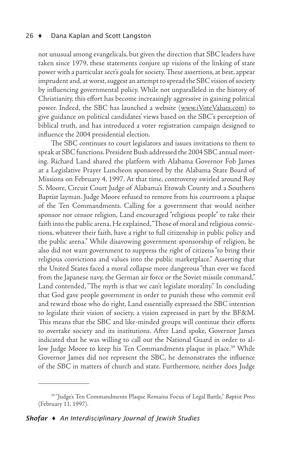not unusual among evangelicals, but given the direction that SBC leaders have taken since 1979, these statements conjure up visions of the linking of state power with a particular sect's goals for society. These assertions, at best, appear imprudent and, at worst, suggest an attempt to spread the SBC vision of society by influencing governmental policy. While not unparalleled in the history of Christianity, this effort has become increasingly aggressive in gaining political power. Indeed, the SBC has launched a website (www.iVoteValues.com) to give guidance on political candidates' views based on the SBC's perception of biblical truth, and has introduced a voter registration campaign designed to influence the 2004 presidential election.

The SBC continues to court legislators and issues invitations to them to speak at SBC functions. President Bush addressed the 2004 SBC annual meeting. Richard Land shared the platform with Alabama Governor Fob James at a Legislative Prayer Luncheon sponsored by the Alabama State Board of Missions on February 4, 1997. At that time, controversy swirled around Roy S. Moore, Circuit Court Judge of Alabama's Etowah County and a Southern Baptist layman. Judge Moore refused to remove from his courtroom a plaque of the Ten Commandments. Calling for a government that would neither sponsor nor censor religion, Land encouraged "religious people" to take their faith into the public arena. He explained, "Those of moral and religious convictions, whatever their faith, have a right to full citizenship in public policy and the public arena." While disavowing government sponsorship of religion, he also did not want government to suppress the right of citizens "to bring their religious convictions and values into the public marketplace." Asserting that the United States faced a moral collapse more dangerous "than ever we faced from the Japanese navy, the German air force or the Soviet missile command," Land contended, "The myth is that we can't legislate morality." In concluding that God gave people government in order to punish those who commit evil and reward those who do right, Land essentially expressed the SBC intention to legislate their vision of society, a vision expressed in part by the BF&M. This means that the SBC and like-minded groups will continue their efforts to overtake society and its institutions. After Land spoke, Governor James indicated that he was willing to call out the National Guard in order to allow Judge Moore to keep his Ten Commandments plaque in place.<sup>39</sup> While Governor James did not represent the SBC, he demonstrates the influence of the SBC in matters of church and state. Furthermore, neither does Judge

<sup>39 &</sup>quot;Judge's Ten Commandments Plaque Remains Focus of Legal Battle," *Baptist Press* (February 11, 1997).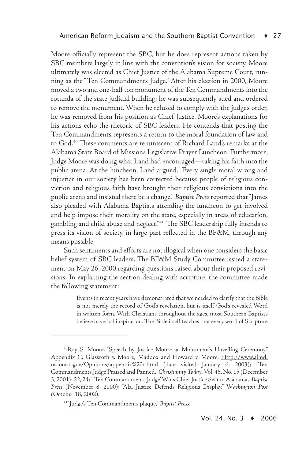Moore officially represent the SBC, but he does represent actions taken by SBC members largely in line with the convention's vision for society. Moore ultimately was elected as Chief Justice of the Alabama Supreme Court, running as the "Ten Commandments Judge." After his election in 2000, Moore moved a two and one-half ton monument of the Ten Commandments into the rotunda of the state judicial building; he was subsequently sued and ordered to remove the monument. When he refused to comply with the judge's order, he was removed from his position as Chief Justice. Moore's explanations for his actions echo the rhetoric of SBC leaders. He contends that posting the Ten Commandments represents a return to the moral foundation of law and to God.40 These comments are reminiscent of Richard Land's remarks at the Alabama State Board of Missions Legislative Prayer Luncheon. Furthermore, Judge Moore was doing what Land had encouraged—taking his faith into the public arena. At the luncheon, Land argued, "Every single moral wrong and injustice in our society has been corrected because people of religious conviction and religious faith have brought their religious convictions into the public arena and insisted there be a change." *Baptist Press* reported that "James also pleaded with Alabama Baptists attending the luncheon to get involved and help impose their morality on the state, especially in areas of education, gambling and child abuse and neglect."41 The SBC leadership fully intends to press its vision of society, in large part reflected in the BF&M, through any means possible.

Such sentiments and efforts are not illogical when one considers the basic belief system of SBC leaders. The BF&M Study Committee issued a statement on May 26, 2000 regarding questions raised about their proposed revisions. In explaining the section dealing with scripture, the committee made the following statement:

> Events in recent years have demonstrated that we needed to clarify that the Bible is not merely the record of God's revelation, but is itself God's revealed Word in written form. With Christians throughout the ages, most Southern Baptists believe in verbal inspiration. The Bible itself teaches that every word of Scripture

<sup>&</sup>lt;sup>40</sup>Roy S. Moore, "Speech by Justice Moore at Monument's Unveiling Ceremony." Appendix C, Glassroth v. Moore; Maddox and Howard v. Moore. Http://www.almd. uscourts.gov/Opinions/appendix%20c.html (date visited January 6, 2003); "Ten Commandments Judge Praised and Panned," *Christianity Today*, Vol. 45, No. 15 (December 3, 2001): 22, 24; "'Ten Commandments Judge' Wins Chief Justice Seat in Alabama," *Baptist Press* (November 8, 2000); "Ala. Justice Defends Religious Display," W*ashington Post (*October 18, 2002).

<sup>41&</sup>quot;Judge's Ten Commandments plaque," *Baptist Press.*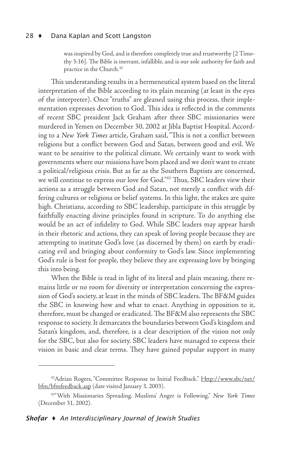was inspired by God, and is therefore completely true and trustworthy [2 Timothy 3:16]. The Bible is inerrant, infallible, and is our sole authority for faith and practice in the Church.42

This understanding results in a hermeneutical system based on the literal interpretation of the Bible according to its plain meaning (at least in the eyes of the interpreter). Once "truths" are gleaned using this process, their implementation expresses devotion to God. This idea is reflected in the comments of recent SBC president Jack Graham after three SBC missionaries were murdered in Yemen on December 30, 2002 at Jibla Baptist Hospital. According to a *New York Times* article, Graham said, "This is not a conflict between religions but a conflict between God and Satan, between good and evil. We want to be sensitive to the political climate. We certainly want to work with governments where our missions have been placed and we don't want to create a political/religious crisis. But as far as the Southern Baptists are concerned, we will continue to express our love for God."43 Thus, SBC leaders view their actions as a struggle between God and Satan, not merely a conflict with differing cultures or religions or belief systems. In this light, the stakes are quite high. Christians, according to SBC leadership, participate in this struggle by faithfully enacting divine principles found in scripture. To do anything else would be an act of infidelity to God. While SBC leaders may appear harsh in their rhetoric and actions, they can speak of loving people because they are attempting to institute God's love (as discerned by them) on earth by eradicating evil and bringing about conformity to God's law. Since implementing God's rule is best for people, they believe they are expressing love by bringing this into being.

When the Bible is read in light of its literal and plain meaning, there remains little or no room for diversity or interpretation concerning the expression of God's society, at least in the minds of SBC leaders. The BF&M guides the SBC in knowing how and what to enact. Anything in opposition to it, therefore, must be changed or eradicated. The BF&M also represents the SBC response to society. It demarcates the boundaries between God's kingdom and Satan's kingdom, and, therefore, is a clear description of the vision not only for the SBC, but also for society. SBC leaders have managed to express their vision in basic and clear terms. They have gained popular support in many

<sup>&</sup>lt;sup>42</sup>Adrian Rogers, "Committee Response to Initial Feedback." <u>Http://www.sbc/net/</u> bfm/bfmfeedback.asp (date visited January 3, 2003).

<sup>43&</sup>quot;With Missionaries Spreading, Muslims' Anger is Following," *New York Times* (December 31, 2002).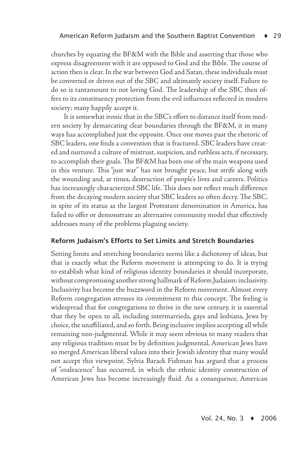churches by equating the BF&M with the Bible and asserting that those who express disagreement with it are opposed to God and the Bible. The course of action then is clear. In the war between God and Satan, these individuals must be converted or driven out of the SBC and ultimately society itself. Failure to do so is tantamount to not loving God. The leadership of the SBC then offers to its constituency protection from the evil influences reflected in modern society; many happily accept it.

It is somewhat ironic that in the SBC's effort to distance itself from modern society by demarcating clear boundaries through the BF&M, it in many ways has accomplished just the opposite. Once one moves past the rhetoric of SBC leaders, one finds a convention that is fractured. SBC leaders have created and nurtured a culture of mistrust, suspicion, and ruthless acts, if necessary, to accomplish their goals. The BF&M has been one of the main weapons used in this venture. This "just war" has not brought peace, but strife along with the wounding and, at times, destruction of people's lives and careers. Politics has increasingly characterized SBC life. This does not reflect much difference from the decaying modern society that SBC leaders so often decry. The SBC, in spite of its status as the largest Protestant denomination in America, has failed to offer or demonstrate an alternative community model that effectively addresses many of the problems plaguing society.

#### Reform Judaism's Efforts to Set Limits and Stretch Boundaries

Setting limits and stretching boundaries seems like a dichotomy of ideas, but that is exactly what the Reform movement is attempting to do. It is trying to establish what kind of religious identity boundaries it should incorporate, without compromising another strong hallmark of Reform Judaism: inclusivity. Inclusivity has become the buzzword in the Reform movement. Almost every Reform congregation stresses its commitment to this concept. The feeling is widespread that for congregations to thrive in the new century, it is essential that they be open to all, including intermarrieds, gays and lesbians, Jews by choice, the unaffiliated, and so forth. Being inclusive implies accepting all while remaining non-judgmental. While it may seem obvious to many readers that any religious tradition must be by definition judgmental, American Jews have so merged American liberal values into their Jewish identity that many would not accept this viewpoint. Sylvia Barack Fishman has argued that a process of "coalescence" has occurred, in which the ethnic identity construction of American Jews has become increasingly fluid. As a consequence, American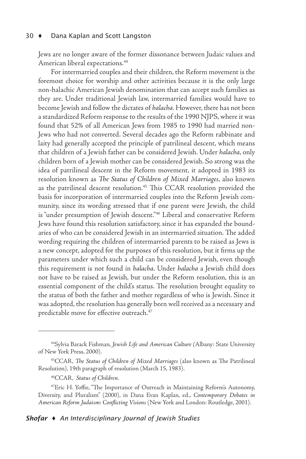Jews are no longer aware of the former dissonance between Judaic values and American liberal expectations.44

For intermarried couples and their children, the Reform movement is the foremost choice for worship and other activities because it is the only large non-halachic American Jewish denomination that can accept such families as they are. Under traditional Jewish law, intermarried families would have to become Jewish and follow the dictates of *halacha*. However, there has not been a standardized Reform response to the results of the 1990 NJPS, where it was found that 52% of all American Jews from 1985 to 1990 had married non-Jews who had not converted. Several decades ago the Reform rabbinate and laity had generally accepted the principle of patrilineal descent, which means that children of a Jewish father can be considered Jewish. Under *halacha*, only children born of a Jewish mother can be considered Jewish. So strong was the idea of patrilineal descent in the Reform movement, it adopted in 1983 its resolution known as *The Status of Children of Mixed Marriages*, also known as the patrilineal descent resolution.<sup>45</sup> This CCAR resolution provided the basis for incorporation of intermarried couples into the Reform Jewish community, since its wording stressed that if one parent were Jewish, the child is "under presumption of Jewish descent."46 Liberal and conservative Reform Jews have found this resolution satisfactory, since it has expanded the boundaries of who can be considered Jewish in an intermarried situation. The added wording requiring the children of intermarried parents to be raised as Jews is a new concept, adopted for the purposes of this resolution, but it firms up the parameters under which such a child can be considered Jewish, even though this requirement is not found in *halacha*. Under *halacha* a Jewish child does not have to be raised as Jewish, but under the Reform resolution, this is an essential component of the child's status. The resolution brought equality to the status of both the father and mother regardless of who is Jewish. Since it was adopted, the resolution has generally been well received as a necessary and predictable move for effective outreach.47

<sup>44</sup>Sylvia Barack Fishman, *Jewish Life and American Culture (*Albany: State University of New York Press, 2000).

<sup>45</sup>CCAR, *The Status of Children of Mixed Marriages* (also known as The Patrilineal Resolution), 19th paragraph of resolution (March 15, 1983).

<sup>46</sup>CCAR, *Status of Children*.

<sup>47</sup>Eric H. Yoffie, "The Importance of Outreach in Maintaining Reform's Autonomy, Diversity, and Pluralism" (2000), in Dana Evan Kaplan, ed., *Contemporary Debates in American Reform Judaism: Conflicting Visions* (New York and London: Routledge, 2001).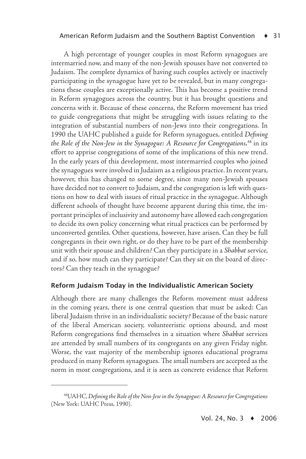# American Reform Judaism and the Southern Baptist Convention ♦ 31

A high percentage of younger couples in most Reform synagogues are intermarried now, and many of the non-Jewish spouses have not converted to Judaism. The complete dynamics of having such couples actively or inactively participating in the synagogue have yet to be revealed, but in many congregations these couples are exceptionally active. This has become a positive trend in Reform synagogues across the country, but it has brought questions and concerns with it. Because of these concerns, the Reform movement has tried to guide congregations that might be struggling with issues relating to the integration of substantial numbers of non-Jews into their congregations. In 1990 the UAHC published a guide for Reform synagogues, entitled *Defining the Role of the Non-Jew in the Synagogue: A Resource for Congregations,*48 in its effort to apprise congregations of some of the implications of this new trend. In the early years of this development, most intermarried couples who joined the synagogues were involved in Judaism as a religious practice. In recent years, however, this has changed to some degree, since many non-Jewish spouses have decided not to convert to Judaism, and the congregation is left with questions on how to deal with issues of ritual practice in the synagogue. Although different schools of thought have become apparent during this time, the important principles of inclusivity and autonomy have allowed each congregation to decide its own policy concerning what ritual practices can be performed by unconverted gentiles. Other questions, however, have arisen. Can they be full congregants in their own right, or do they have to be part of the membership unit with their spouse and children? Can they participate in a *Shabbat* service, and if so, how much can they participate? Can they sit on the board of directors? Can they teach in the synagogue?

# Reform Judaism Today in the Individualistic American Society

Although there are many challenges the Reform movement must address in the coming years, there is one central question that must be asked: Can liberal Judaism thrive in an individualistic society? Because of the basic nature of the liberal American society, volunteeristic options abound, and most Reform congregations find themselves in a situation where *Shabbat* services are attended by small numbers of its congregants on any given Friday night*.*  Worse, the vast majority of the membership ignores educational programs produced in many Reform synagogues. The small numbers are accepted as the norm in most congregations, and it is seen as concrete evidence that Reform

<sup>48</sup>UAHC, *Defining the Role of the Non-Jew in the Synagogue: A Resource for Congregations* (New York: UAHC Press, 1990).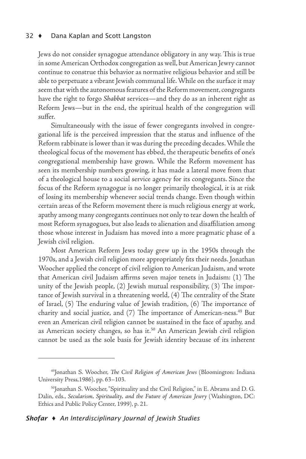Jews do not consider synagogue attendance obligatory in any way. This is true in some American Orthodox congregation as well, but American Jewry cannot continue to construe this behavior as normative religious behavior and still be able to perpetuate a vibrant Jewish communal life. While on the surface it may seem that with the autonomous features of the Reform movement, congregants have the right to forgo *Shabbat* services—and they do as an inherent right as Reform Jews—but in the end, the spiritual health of the congregation will suffer.

Simultaneously with the issue of fewer congregants involved in congregational life is the perceived impression that the status and influence of the Reform rabbinate is lower than it was during the preceding decades. While the theological focus of the movement has ebbed, the therapeutic benefits of one's congregational membership have grown. While the Reform movement has seen its membership numbers growing, it has made a lateral move from that of a theological house to a social service agency for its congregants. Since the focus of the Reform synagogue is no longer primarily theological, it is at risk of losing its membership whenever social trends change. Even though within certain areas of the Reform movement there is much religious energy at work, apathy among many congregants continues not only to tear down the health of most Reform synagogues, but also leads to alienation and disaffiliation among those whose interest in Judaism has moved into a more pragmatic phase of a Jewish civil religion.

Most American Reform Jews today grew up in the 1950s through the 1970s, and a Jewish civil religion more appropriately fits their needs. Jonathan Woocher applied the concept of civil religion to American Judaism, and wrote that American civil Judaism affirms seven major tenets in Judaism: (1) The unity of the Jewish people, (2) Jewish mutual responsibility, (3) The importance of Jewish survival in a threatening world, (4) The centrality of the State of Israel, (5) The enduring value of Jewish tradition, (6) The importance of charity and social justice, and (7) The importance of American-ness.<sup>49</sup> But even an American civil religion cannot be sustained in the face of apathy, and as American society changes, so has it.<sup>50</sup> An American Jewish civil religion cannot be used as the sole basis for Jewish identity because of its inherent

<sup>49</sup>Jonathan S. Woocher, *The Civil Religion of American Jews* (Bloomington: Indiana University Press,1986), pp. 63–103.

<sup>50</sup>Jonathan S. Woocher, "Spirituality and the Civil Religion," in E. Abrams and D. G. Dalin, eds., *Secularism, Spirituality, and the Future of American Jewry* (Washington, DC: Ethics and Public Policy Center, 1999), p. 21.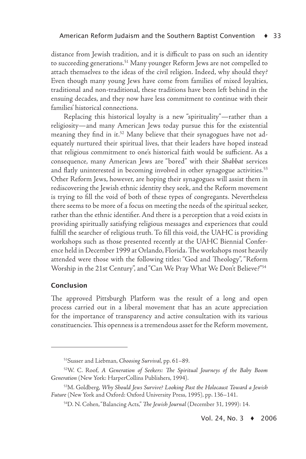distance from Jewish tradition, and it is difficult to pass on such an identity to succeeding generations.<sup>51</sup> Many younger Reform Jews are not compelled to attach themselves to the ideas of the civil religion. Indeed, why should they? Even though many young Jews have come from families of mixed loyalties, traditional and non-traditional, these traditions have been left behind in the ensuing decades, and they now have less commitment to continue with their families' historical connections.

Replacing this historical loyalty is a new "spirituality"—rather than a religiosity—and many American Jews today pursue this for the existential meaning they find in it.<sup>52</sup> Many believe that their synagogues have not adequately nurtured their spiritual lives, that their leaders have hoped instead that religious commitment to one's historical faith would be sufficient. As a consequence, many American Jews are "bored" with their *Shabbat* services and flatly uninterested in becoming involved in other synagogue activities.<sup>53</sup> Other Reform Jews, however, are hoping their synagogues will assist them in rediscovering the Jewish ethnic identity they seek, and the Reform movement is trying to fill the void of both of these types of congregants. Nevertheless there seems to be more of a focus on meeting the needs of the spiritual seeker, rather than the ethnic identifier. And there is a perception that a void exists in providing spiritually satisfying religious messages and experiences that could fulfill the searcher of religious truth. To fill this void, the UAHC is providing workshops such as those presented recently at the UAHC Biennial Conference held in December 1999 at Orlando, Florida. The workshops most heavily attended were those with the following titles: "God and Theology", "Reform Worship in the 21st Century", and "Can We Pray What We Don't Believe?"54

# Conclusion

The approved Pittsburgh Platform was the result of a long and open process carried out in a liberal movement that has an acute appreciation for the importance of transparency and active consultation with its various constituencies. This openness is a tremendous asset for the Reform movement,

<sup>51</sup>Susser and Liebman, *Choosing Survival*, pp. 61–89.

<sup>52</sup>W. C. Roof, *A Generation of Seekers: The Spiritual Journeys of the Baby Boom Generation* (New York: HarperCollins Publishers, 1994).

<sup>53</sup>M. Goldberg, *Why Should Jews Survive? Looking Past the Holocaust Toward a Jewish Future* (New York and Oxford: Oxford University Press, 1995), pp. 136–141.

<sup>54</sup>D. N. Cohen, "Balancing Acts," *The Jewish Journal* (December 31, 1999): 14.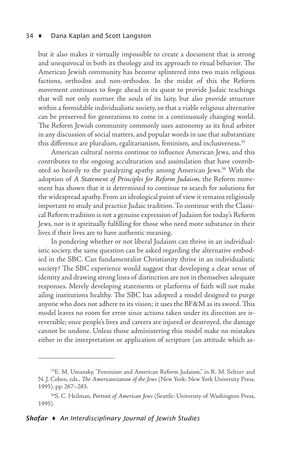but it also makes it virtually impossible to create a document that is strong and unequivocal in both its theology and its approach to ritual behavior. The American Jewish community has become splintered into two main religious factions, orthodox and non-orthodox. In the midst of this the Reform movement continues to forge ahead in its quest to provide Judaic teachings that will not only nurture the souls of its laity, but also provide structure within a formidable individualistic society, so that a viable religious alternative can be preserved for generations to come in a continuously changing world. The Reform Jewish community commonly uses autonomy as its final arbiter in any discussion of social matters, and popular words in use that substantiate this difference are pluralism, egalitarianism, feminism, and inclusiveness.<sup>55</sup>

American cultural norms continue to influence American Jews, and this contributes to the ongoing acculturation and assimilation that have contributed so heavily to the paralyzing apathy among American Jews.<sup>56</sup> With the adoption of *A Statement of Principles for Reform Judaism*, the Reform movement has shown that it is determined to continue to search for solutions for the widespread apathy. From an ideological point of view it remains religiously important to study and practice Judaic tradition. To continue with the Classical Reform tradition is not a genuine expression of Judaism for today's Reform Jews, nor is it spiritually fulfilling for those who need more substance in their lives if their lives are to have authentic meaning.

In pondering whether or not liberal Judaism can thrive in an individualistic society, the same question can be asked regarding the alternative embodied in the SBC. Can fundamentalist Christianity thrive in an individualistic society? The SBC experience would suggest that developing a clear sense of identity and drawing strong lines of distinction are not in themselves adequate responses. Merely developing statements or platforms of faith will not make ailing institutions healthy. The SBC has adopted a model designed to purge anyone who does not adhere to its vision; it uses the BF&M as its sword. This model leaves no room for error since actions taken under its direction are irreversible; once people's lives and careers are injured or destroyed, the damage cannot be undone. Unless those administering this model make no mistakes either in the interpretation or application of scripture (an attitude which as-

<sup>55</sup>E. M. Umansky, "Feminism and American Reform Judaism," in R. M. Seltzer and N. J. Cohen, eds., *The Americanization of the Jews* (New York: New York University Press, 1995), pp. 267–283.

<sup>56</sup>S. C. Heilman, *Portrait of American Jews* (Seattle: University of Washington Press, 1995).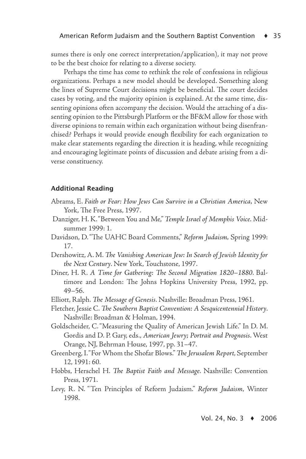sumes there is only one correct interpretation/application), it may not prove to be the best choice for relating to a diverse society.

Perhaps the time has come to rethink the role of confessions in religious organizations. Perhaps a new model should be developed. Something along the lines of Supreme Court decisions might be beneficial. The court decides cases by voting, and the majority opinion is explained. At the same time, dissenting opinions often accompany the decision. Would the attaching of a dissenting opinion to the Pittsburgh Platform or the BF&M allow for those with diverse opinions to remain within each organization without being disenfranchised? Perhaps it would provide enough flexibility for each organization to make clear statements regarding the direction it is heading, while recognizing and encouraging legitimate points of discussion and debate arising from a diverse constituency.

# Additional Reading

- Abrams, E. *Faith or Fear: How Jews Can Survive in a Christian America,* New York, The Free Press, 1997.
- Danziger, H. K. "Between You and Me," *Temple Israel of Memphis Voice.* Midsummer 1999: 1.
- Davidson, D. "The UAHC Board Comments," *Reform Judaism,* Spring 1999: 17.
- Dershowitz, A. M. *The Vanishing American Jew: In Search of Jewish Identity for the Next Century*. New York, Touchstone, 1997.
- Diner, H. R. *A Time for Gathering: The Second Migration 1820–1880*. Baltimore and London: The Johns Hopkins University Press, 1992, pp. 49–56.
- Elliott, Ralph. *The Message of Genesis*. Nashville: Broadman Press, 1961.
- Fletcher, Jessie C. *The Southern Baptist Convention: A Sesquicentennial History*. Nashville: Broadman & Holman, 1994.
- Goldscheider, C. "Measuring the Quality of American Jewish Life." In D. M. Gordis and D. P. Gary, eds., *American Jewry; Portrait and Prognosis*. West Orange, NJ, Behrman House, 1997, pp. 31–47.
- Greenberg, I. "For Whom the Shofar Blows." *The Jerusalem Report*, September 12, 1991: 60.
- Hobbs, Herschel H. *The Baptist Faith and Message*. Nashville: Convention Press, 1971.
- Levy, R. N. "Ten Principles of Reform Judaism." *Reform Judaism*, Winter 1998.